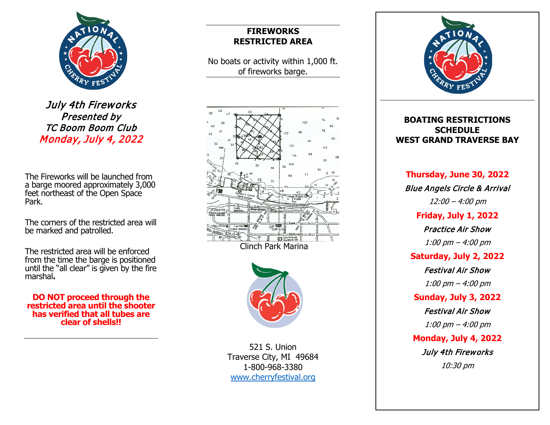

July 4th Fireworks Presented by TC Boom Boom Club Monday, July 4, 2022

The Fireworks will be launched from a barge moored approximately 3,000 feet northeast of the Open Space Park.

The corners of the restricted area will be marked and patrolled.

The restricted area will be enforced from the time the barge is positioned until the "all clear" is given by the fire marshal**.**

**DO NOT proceed through the restricted area until the shooter has verified that all tubes are clear of shells!!**

## **FIREWORKS RESTRICTED AREA**

No boats or activity within 1,000 ft. of fireworks barge.



Clinch Park Marina



521 S. Union Traverse City, MI 49684 1-800-968-3380 [www.cherryfestival.org](http://www.cherryfestival.org/)



## **BOATING RESTRICTIONS SCHEDULE WEST GRAND TRAVERSE BAY**

**Thursday, June 30, 2022** Blue Angels Circle & Arrival 12:00 – 4:00 pm **Friday, July 1, 2022** Practice Air Show 1:00 pm – 4:00 pm **Saturday, July 2, 2022** Festival Air Show 1:00 pm – 4:00 pm **Sunday, July 3, 2022** Festival Air Show 1:00 pm – 4:00 pm **Monday, July 4, 2022**

July 4th Fireworks

10:30 pm